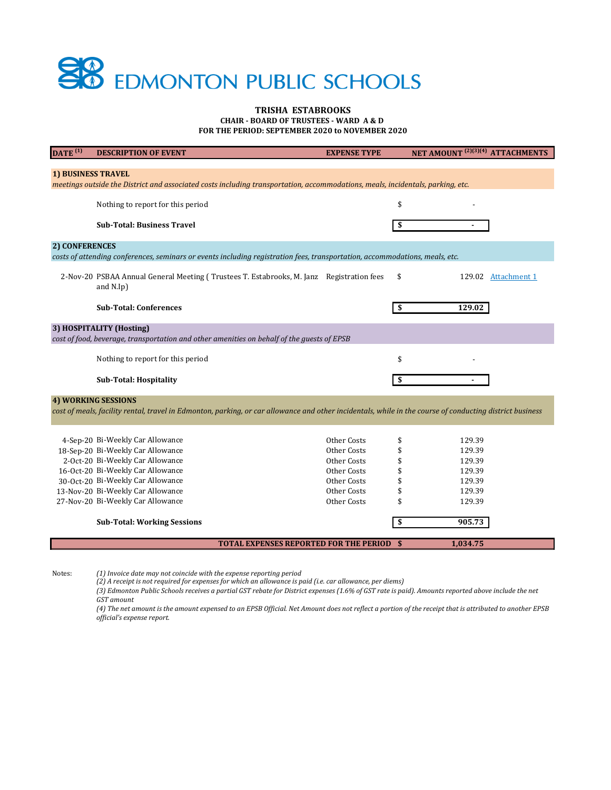## **SB** EDMONTON PUBLIC SCHOOLS

## **CHAIR - BOARD OF TRUSTEES - WARD A & D TRISHA ESTABROOKS**

**FOR THE PERIOD: SEPTEMBER 2020 to NOVEMBER 2020**

| DATE <sup>(1)</sup>                                                                                                                                         | <b>DESCRIPTION OF EVENT</b>                                                                                                                                                                                                                                                                         | <b>EXPENSE TYPE</b>                                                                                   |                                        | NET AMOUNT <sup>(2)(3)(4)</sup> ATTACHMENTS                                  |  |  |
|-------------------------------------------------------------------------------------------------------------------------------------------------------------|-----------------------------------------------------------------------------------------------------------------------------------------------------------------------------------------------------------------------------------------------------------------------------------------------------|-------------------------------------------------------------------------------------------------------|----------------------------------------|------------------------------------------------------------------------------|--|--|
| <b>1) BUSINESS TRAVEL</b><br>meetings outside the District and associated costs including transportation, accommodations, meals, incidentals, parking, etc. |                                                                                                                                                                                                                                                                                                     |                                                                                                       |                                        |                                                                              |  |  |
|                                                                                                                                                             | Nothing to report for this period                                                                                                                                                                                                                                                                   |                                                                                                       | \$                                     |                                                                              |  |  |
|                                                                                                                                                             | <b>Sub-Total: Business Travel</b>                                                                                                                                                                                                                                                                   |                                                                                                       | \$                                     |                                                                              |  |  |
| <b>2) CONFERENCES</b>                                                                                                                                       | costs of attending conferences, seminars or events including registration fees, transportation, accommodations, meals, etc.                                                                                                                                                                         |                                                                                                       |                                        |                                                                              |  |  |
|                                                                                                                                                             | 2-Nov-20 PSBAA Annual General Meeting (Trustees T. Estabrooks, M. Janz Registration fees<br>and N.Ip)                                                                                                                                                                                               |                                                                                                       | \$                                     | 129.02 Attachment 1                                                          |  |  |
|                                                                                                                                                             | <b>Sub-Total: Conferences</b>                                                                                                                                                                                                                                                                       |                                                                                                       | \$                                     | 129.02                                                                       |  |  |
| 3) HOSPITALITY (Hosting)<br>cost of food, beverage, transportation and other amenities on behalf of the guests of EPSB                                      |                                                                                                                                                                                                                                                                                                     |                                                                                                       |                                        |                                                                              |  |  |
|                                                                                                                                                             | Nothing to report for this period                                                                                                                                                                                                                                                                   |                                                                                                       | \$                                     |                                                                              |  |  |
|                                                                                                                                                             | <b>Sub-Total: Hospitality</b>                                                                                                                                                                                                                                                                       |                                                                                                       | \$                                     |                                                                              |  |  |
| <b>4) WORKING SESSIONS</b>                                                                                                                                  | cost of meals, facility rental, travel in Edmonton, parking, or car allowance and other incidentals, while in the course of conducting district business                                                                                                                                            |                                                                                                       |                                        |                                                                              |  |  |
|                                                                                                                                                             | 4-Sep-20 Bi-Weekly Car Allowance<br>18-Sep-20 Bi-Weekly Car Allowance<br>2-Oct-20 Bi-Weekly Car Allowance<br>16-Oct-20 Bi-Weekly Car Allowance<br>30-Oct-20 Bi-Weekly Car Allowance<br>13-Nov-20 Bi-Weekly Car Allowance<br>27-Nov-20 Bi-Weekly Car Allowance<br><b>Sub-Total: Working Sessions</b> | Other Costs<br>Other Costs<br>Other Costs<br>Other Costs<br>Other Costs<br>Other Costs<br>Other Costs | \$<br>\$<br>\$<br>\$<br>\$<br>\$<br>\$ | 129.39<br>129.39<br>129.39<br>129.39<br>129.39<br>129.39<br>129.39<br>905.73 |  |  |
|                                                                                                                                                             | <b>TOTAL EXPENSES REPORTED FOR THE PERIOD</b>                                                                                                                                                                                                                                                       |                                                                                                       | - \$                                   | 1,034.75                                                                     |  |  |

Notes: *(1) Invoice date may not coincide with the expense reporting period*

*(2) A receipt is not required for expenses for which an allowance is paid (i.e. car allowance, per diems)*

*(3) Edmonton Public Schools receives a partial GST rebate for District expenses (1.6% of GST rate is paid). Amounts reported above include the net GST amount*

*(4) The net amount is the amount expensed to an EPSB Official. Net Amount does not reflect a portion of the receipt that is attributed to another EPSB official's expense report.*